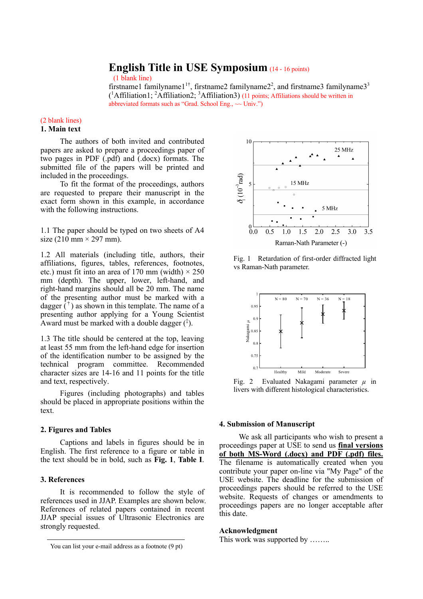# **English Title in USE Symposium** (14 - <sup>16</sup> points)

(1 blank line)

firstname1 familyname1<sup>1†</sup>, firstname2 familyname2<sup>2</sup>, and firstname3 familyname3<sup>3</sup>  $({}^{1}$ Affiliation1;  ${}^{2}$ Affiliation2;  ${}^{3}$ Affiliation3) (11 points; Affiliations should be written in abbreviated formats such as "Grad. School Eng.,  $\sim$  Univ.")

#### (2 blank lines) **1. Main text**

The authors of both invited and contributed papers are asked to prepare a proceedings paper of two pages in PDF (.pdf) and (.docx) formats. The submitted file of the papers will be printed and included in the proceedings.

To fit the format of the proceedings, authors are requested to prepare their manuscript in the exact form shown in this example, in accordance with the following instructions.

1.1 The paper should be typed on two sheets of A4 size (210 mm  $\times$  297 mm).

1.2 All materials (including title, authors, their affiliations, figures, tables, references, footnotes, etc.) must fit into an area of 170 mm (width)  $\times$  250 mm (depth). The upper, lower, left-hand, and right-hand margins should all be 20 mm. The name of the presenting author must be marked with a dagger  $(\dot{r})$  as shown in this template. The name of a presenting author applying for a Young Scientist Award must be marked with a double dagger  $({}^{1})$ .

1.3 The title should be centered at the top, leaving at least 55 mm from the left-hand edge for insertion of the identification number to be assigned by the technical program committee. Recommended character sizes are 14-16 and 11 points for the title and text, respectively.

Figures (including photographs) and tables should be placed in appropriate positions within the text.

## **2. Figures and Tables**

Captions and labels in figures should be in English. The first reference to a figure or table in the text should be in bold, such as **Fig. 1**, **Table I**.

## **3. References**

1

It is recommended to follow the style of references used in JJAP. Examples are shown below. References of related papers contained in recent JJAP special issues of Ultrasonic Electronics are strongly requested.



Fig. 1 Retardation of first-order diffracted light vs Raman-Nath parameter.



Fig. 2 Evaluated Nakagami parameter *µ* in livers with different histological characteristics.

#### **4. Submission of Manuscript**

We ask all participants who wish to present a proceedings paper at USE to send us **final versions of both MS-Word (.docx) and PDF (.pdf) files.** The filename is automatically created when you contribute your paper on-line via "My Page" of the USE website. The deadline for the submission of proceedings papers should be referred to the USE website. Requests of changes or amendments to proceedings papers are no longer acceptable after this date.

#### **Acknowledgment**

This work was supported by ........

You can list your e-mail address as a footnote  $(9 \text{ pt})$